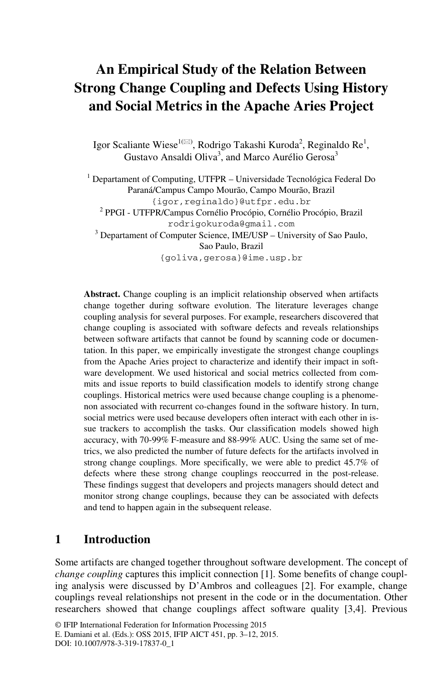# **An Empirical Study of the Relation Between Strong Change Coupling and Defects Using History and Social Metrics in the Apache Aries Project**

Igor Scaliante Wiese<sup>1( $\boxtimes$ )</sup>, Rodrigo Takashi Kuroda<sup>2</sup>, Reginaldo Re<sup>1</sup>, Gustavo Ansaldi Oliva<sup>3</sup>, and Marco Aurélio Gerosa<sup>3</sup>

<sup>1</sup> Departament of Computing, UTFPR – Universidade Tecnológica Federal Do Paraná/Campus Campo Mourão, Campo Mourão, Brazil {igor,reginaldo}@utfpr.edu.br <sup>2</sup> PPGI - UTFPR/Campus Cornélio Procópio, Cornélio Procópio, Brazil rodrigokuroda@gmail.com <sup>3</sup> Departament of Computer Science, IME/USP – University of Sao Paulo, Sao Paulo, Brazil {goliva,gerosa}@ime.usp.br

**Abstract.** Change coupling is an implicit relationship observed when artifacts change together during software evolution. The literature leverages change coupling analysis for several purposes. For example, researchers discovered that change coupling is associated with software defects and reveals relationships between software artifacts that cannot be found by scanning code or documentation. In this paper, we empirically investigate the strongest change couplings from the Apache Aries project to characterize and identify their impact in software development. We used historical and social metrics collected from commits and issue reports to build classification models to identify strong change couplings. Historical metrics were used because change coupling is a phenomenon associated with recurrent co-changes found in the software history. In turn, social metrics were used because developers often interact with each other in issue trackers to accomplish the tasks. Our classification models showed high accuracy, with 70-99% F-measure and 88-99% AUC. Using the same set of metrics, we also predicted the number of future defects for the artifacts involved in strong change couplings. More specifically, we were able to predict 45.7% of defects where these strong change couplings reoccurred in the post-release. These findings suggest that developers and projects managers should detect and monitor strong change couplings, because they can be associated with defects and tend to happen again in the subsequent release.

# **1 Introduction**

Some artifacts are changed together throughout software development. The concept of *change coupling* captures this implicit connection [1]. Some benefits of change coupling analysis were discussed by D'Ambros and colleagues [2]. For example, change couplings reveal relationships not present in the code or in the documentation. Other researchers showed that change couplings affect software quality [3,4]. Previous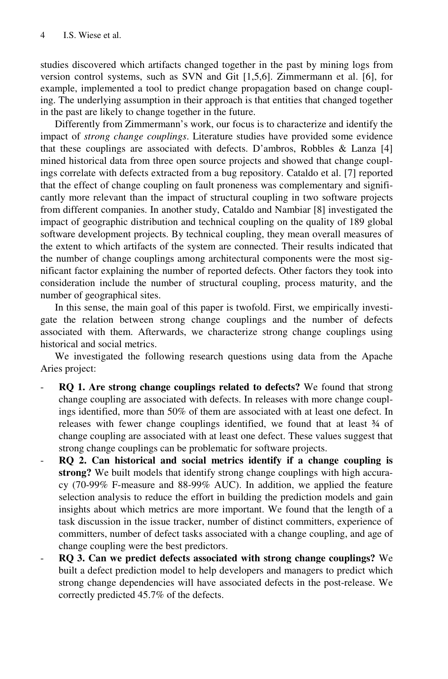studies discovered which artifacts changed together in the past by mining logs from version control systems, such as SVN and Git [1,5,6]. Zimmermann et al. [6], for example, implemented a tool to predict change propagation based on change coupling. The underlying assumption in their approach is that entities that changed together in the past are likely to change together in the future.

Differently from Zimmermann's work, our focus is to characterize and identify the impact of *strong change couplings*. Literature studies have provided some evidence that these couplings are associated with defects. D'ambros, Robbles & Lanza [4] mined historical data from three open source projects and showed that change couplings correlate with defects extracted from a bug repository. Cataldo et al. [7] reported that the effect of change coupling on fault proneness was complementary and significantly more relevant than the impact of structural coupling in two software projects from different companies. In another study, Cataldo and Nambiar [8] investigated the impact of geographic distribution and technical coupling on the quality of 189 global software development projects. By technical coupling, they mean overall measures of the extent to which artifacts of the system are connected. Their results indicated that the number of change couplings among architectural components were the most significant factor explaining the number of reported defects. Other factors they took into consideration include the number of structural coupling, process maturity, and the number of geographical sites.

In this sense, the main goal of this paper is twofold. First, we empirically investigate the relation between strong change couplings and the number of defects associated with them. Afterwards, we characterize strong change couplings using historical and social metrics.

We investigated the following research questions using data from the Apache Aries project:

- **RQ 1. Are strong change couplings related to defects?** We found that strong change coupling are associated with defects. In releases with more change couplings identified, more than 50% of them are associated with at least one defect. In releases with fewer change couplings identified, we found that at least ¾ of change coupling are associated with at least one defect. These values suggest that strong change couplings can be problematic for software projects.
- **RQ 2. Can historical and social metrics identify if a change coupling is strong?** We built models that identify strong change couplings with high accuracy (70-99% F-measure and 88-99% AUC). In addition, we applied the feature selection analysis to reduce the effort in building the prediction models and gain insights about which metrics are more important. We found that the length of a task discussion in the issue tracker, number of distinct committers, experience of committers, number of defect tasks associated with a change coupling, and age of change coupling were the best predictors.
- **RQ 3. Can we predict defects associated with strong change couplings?** We built a defect prediction model to help developers and managers to predict which strong change dependencies will have associated defects in the post-release. We correctly predicted 45.7% of the defects.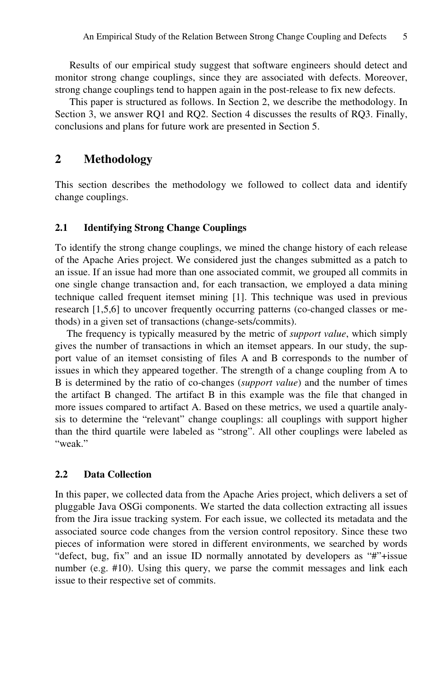Results of our empirical study suggest that software engineers should detect and monitor strong change couplings, since they are associated with defects. Moreover, strong change couplings tend to happen again in the post-release to fix new defects.

This paper is structured as follows. In Section 2, we describe the methodology. In Section 3, we answer RQ1 and RQ2. Section 4 discusses the results of RQ3. Finally, conclusions and plans for future work are presented in Section 5.

# **2 Methodology**

This section describes the methodology we followed to collect data and identify change couplings.

### **2.1 Identifying Strong Change Couplings**

To identify the strong change couplings, we mined the change history of each release of the Apache Aries project. We considered just the changes submitted as a patch to an issue. If an issue had more than one associated commit, we grouped all commits in one single change transaction and, for each transaction, we employed a data mining technique called frequent itemset mining [1]. This technique was used in previous research [1,5,6] to uncover frequently occurring patterns (co-changed classes or methods) in a given set of transactions (change-sets/commits).

The frequency is typically measured by the metric of *support value*, which simply gives the number of transactions in which an itemset appears. In our study, the support value of an itemset consisting of files A and B corresponds to the number of issues in which they appeared together. The strength of a change coupling from A to B is determined by the ratio of co-changes (*support value*) and the number of times the artifact B changed. The artifact B in this example was the file that changed in more issues compared to artifact A. Based on these metrics, we used a quartile analysis to determine the "relevant" change couplings: all couplings with support higher than the third quartile were labeled as "strong". All other couplings were labeled as "weak."

# **2.2 Data Collection**

In this paper, we collected data from the Apache Aries project, which delivers a set of pluggable Java OSGi components. We started the data collection extracting all issues from the Jira issue tracking system. For each issue, we collected its metadata and the associated source code changes from the version control repository. Since these two pieces of information were stored in different environments, we searched by words "defect, bug, fix" and an issue ID normally annotated by developers as "#"+issue number (e.g. #10). Using this query, we parse the commit messages and link each issue to their respective set of commits.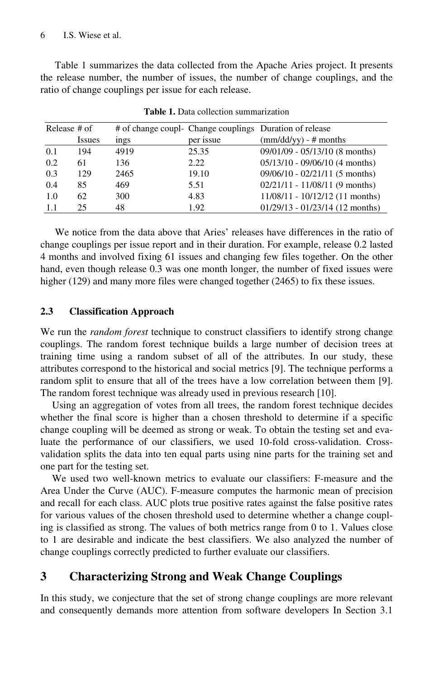Table 1 summarizes the data collected from the Apache Aries project. It presents the release number, the number of issues, the number of change couplings, and the ratio of change couplings per issue for each release.

| Release # of |               |      |           | # of change coupl- Change couplings Duration of release |  |  |  |  |
|--------------|---------------|------|-----------|---------------------------------------------------------|--|--|--|--|
|              | <b>Issues</b> | ings | per issue | $\text{(mm/dd/yy)}$ - # months                          |  |  |  |  |
| 0.1          | 194           | 4919 | 25.35     | $09/01/09 - 05/13/10$ (8 months)                        |  |  |  |  |
| 0.2          | 61            | 136  | 2.22      | $05/13/10 - 09/06/10$ (4 months)                        |  |  |  |  |
| 0.3          | 129           | 2465 | 19.10     | $09/06/10 - 02/21/11$ (5 months)                        |  |  |  |  |
| 0.4          | 85            | 469  | 5.51      | $02/21/11 - 11/08/11$ (9 months)                        |  |  |  |  |
| 1.0          | 62            | 300  | 4.83      | $11/08/11 - 10/12/12$ (11 months)                       |  |  |  |  |
| 1.1          | 25            | 48   | 1.92      | $01/29/13 - 01/23/14$ (12 months)                       |  |  |  |  |

**Table 1.** Data collection summarization

We notice from the data above that Aries' releases have differences in the ratio of change couplings per issue report and in their duration. For example, release 0.2 lasted 4 months and involved fixing 61 issues and changing few files together. On the other hand, even though release 0.3 was one month longer, the number of fixed issues were higher (129) and many more files were changed together (2465) to fix these issues.

### **2.3 Classification Approach**

We run the *random forest* technique to construct classifiers to identify strong change couplings. The random forest technique builds a large number of decision trees at training time using a random subset of all of the attributes. In our study, these attributes correspond to the historical and social metrics [9]. The technique performs a random split to ensure that all of the trees have a low correlation between them [9]. The random forest technique was already used in previous research [10].

Using an aggregation of votes from all trees, the random forest technique decides whether the final score is higher than a chosen threshold to determine if a specific change coupling will be deemed as strong or weak. To obtain the testing set and evaluate the performance of our classifiers, we used 10-fold cross-validation. Crossvalidation splits the data into ten equal parts using nine parts for the training set and one part for the testing set.

We used two well-known metrics to evaluate our classifiers: F-measure and the Area Under the Curve (AUC). F-measure computes the harmonic mean of precision and recall for each class. AUC plots true positive rates against the false positive rates for various values of the chosen threshold used to determine whether a change coupling is classified as strong. The values of both metrics range from 0 to 1. Values close to 1 are desirable and indicate the best classifiers. We also analyzed the number of change couplings correctly predicted to further evaluate our classifiers.

# **3 Characterizing Strong and Weak Change Couplings**

In this study, we conjecture that the set of strong change couplings are more relevant and consequently demands more attention from software developers In Section 3.1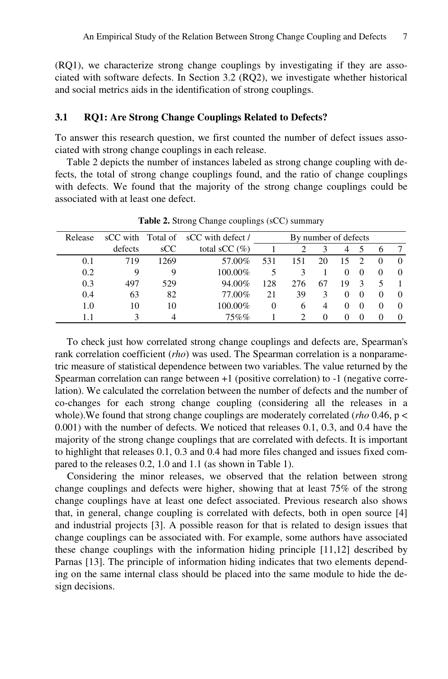(RQ1), we characterize strong change couplings by investigating if they are associated with software defects. In Section 3.2 (RQ2), we investigate whether historical and social metrics aids in the identification of strong couplings.

#### **3.1 RQ1: Are Strong Change Couplings Related to Defects?**

To answer this research question, we first counted the number of defect issues associated with strong change couplings in each release.

Table 2 depicts the number of instances labeled as strong change coupling with defects, the total of strong change couplings found, and the ratio of change couplings with defects. We found that the majority of the strong change couplings could be associated with at least one defect.

| Release |         |      | sCC with Total of sCC with defect / | By number of defects |              |    |          |          |   |                  |
|---------|---------|------|-------------------------------------|----------------------|--------------|----|----------|----------|---|------------------|
|         | defects | SCC  | total sCC $(\% )$                   |                      |              | 3  | 4        | C.       | o |                  |
| 0.1     | 719     | 1269 | 57.00%                              | 531                  | 151          | 20 | 15       |          |   | $\mathbf{0}$     |
| 0.2     | 9       | 9    | 100.00%                             | 5                    | 3            |    | $^{(1)}$ | $\theta$ |   |                  |
| 0.3     | 497     | 529  | 94.00%                              | 128                  | 276          | 67 | 19       |          |   |                  |
| 0.4     | 63      | 82   | 77.00%                              | 21                   | 39           | 3  | $^{(1)}$ | $\theta$ |   | $\left( \right)$ |
| 1.0     | 10      | 10   | 100.00%                             | $\Omega$             | <sub>6</sub> |    | $^{(1)}$ | $\theta$ |   | $\theta$         |
|         |         |      | $75\%$ %                            |                      |              |    |          |          |   |                  |

**Table 2.** Strong Change couplings (sCC) summary

To check just how correlated strong change couplings and defects are, Spearman's rank correlation coefficient (*rho*) was used. The Spearman correlation is a nonparametric measure of statistical dependence between two variables. The value returned by the Spearman correlation can range between +1 (positive correlation) to -1 (negative correlation). We calculated the correlation between the number of defects and the number of co-changes for each strong change coupling (considering all the releases in a whole).We found that strong change couplings are moderately correlated (*rho* 0.46, p < 0.001) with the number of defects. We noticed that releases 0.1, 0.3, and 0.4 have the majority of the strong change couplings that are correlated with defects. It is important to highlight that releases 0.1, 0.3 and 0.4 had more files changed and issues fixed compared to the releases 0.2, 1.0 and 1.1 (as shown in Table 1).

Considering the minor releases, we observed that the relation between strong change couplings and defects were higher, showing that at least 75% of the strong change couplings have at least one defect associated. Previous research also shows that, in general, change coupling is correlated with defects, both in open source [4] and industrial projects [3]. A possible reason for that is related to design issues that change couplings can be associated with. For example, some authors have associated these change couplings with the information hiding principle [11,12] described by Parnas [13]. The principle of information hiding indicates that two elements depending on the same internal class should be placed into the same module to hide the design decisions.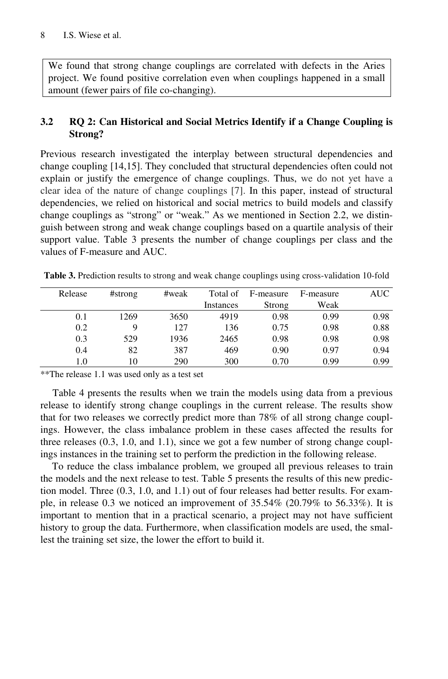We found that strong change couplings are correlated with defects in the Aries project. We found positive correlation even when couplings happened in a small amount (fewer pairs of file co-changing).

# **3.2 RQ 2: Can Historical and Social Metrics Identify if a Change Coupling is Strong?**

Previous research investigated the interplay between structural dependencies and change coupling [14,15]. They concluded that structural dependencies often could not explain or justify the emergence of change couplings. Thus, we do not yet have a clear idea of the nature of change couplings [7]. In this paper, instead of structural dependencies, we relied on historical and social metrics to build models and classify change couplings as "strong" or "weak." As we mentioned in Section 2.2, we distinguish between strong and weak change couplings based on a quartile analysis of their support value. Table 3 presents the number of change couplings per class and the values of F-measure and AUC.

**Table 3.** Prediction results to strong and weak change couplings using cross-validation 10-fold

| Release | #strong | #weak | Total of  | F-measure | F-measure | <b>AUC</b> |
|---------|---------|-------|-----------|-----------|-----------|------------|
|         |         |       | Instances | Strong    | Weak      |            |
| 0.1     | 1269    | 3650  | 4919      | 0.98      | 0.99      | 0.98       |
| 0.2     | 9       | 127   | 136       | 0.75      | 0.98      | 0.88       |
| 0.3     | 529     | 1936  | 2465      | 0.98      | 0.98      | 0.98       |
| 0.4     | 82      | 387   | 469       | 0.90      | 0.97      | 0.94       |
| 1.0     | 10      | 290   | 300       | 0.70      | 0.99      | 0.99       |

\*\*The release 1.1 was used only as a test set

Table 4 presents the results when we train the models using data from a previous release to identify strong change couplings in the current release. The results show that for two releases we correctly predict more than 78% of all strong change couplings. However, the class imbalance problem in these cases affected the results for three releases (0.3, 1.0, and 1.1), since we got a few number of strong change couplings instances in the training set to perform the prediction in the following release.

To reduce the class imbalance problem, we grouped all previous releases to train the models and the next release to test. Table 5 presents the results of this new prediction model. Three (0.3, 1.0, and 1.1) out of four releases had better results. For example, in release 0.3 we noticed an improvement of 35.54% (20.79% to 56.33%). It is important to mention that in a practical scenario, a project may not have sufficient history to group the data. Furthermore, when classification models are used, the smallest the training set size, the lower the effort to build it.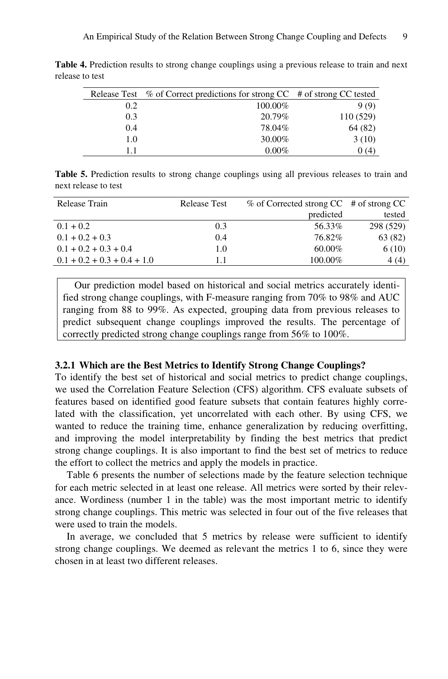|     | Release Test % of Correct predictions for strong CC # of strong CC tested |          |
|-----|---------------------------------------------------------------------------|----------|
| 0.2 | 100.00%                                                                   | 9(9)     |
| 0.3 | 20.79%                                                                    | 110(529) |
| 0.4 | 78.04%                                                                    | 64 (82)  |
| 1.0 | 30.00%                                                                    | 3(10)    |
| 11  | $0.00\%$                                                                  | (4)      |

**Table 4.** Prediction results to strong change couplings using a previous release to train and next release to test

**Table 5.** Prediction results to strong change couplings using all previous releases to train and next release to test

| Release Train                 | <b>Release Test</b> | $\%$ of Corrected strong CC # of strong CC |           |
|-------------------------------|---------------------|--------------------------------------------|-----------|
|                               |                     | predicted                                  | tested    |
| $0.1 + 0.2$                   | 0.3                 | 56.33%                                     | 298 (529) |
| $0.1 + 0.2 + 0.3$             | 0.4                 | 76.82%                                     | 63 (82)   |
| $0.1 + 0.2 + 0.3 + 0.4$       | 1.0                 | 60.00%                                     | 6(10)     |
| $0.1 + 0.2 + 0.3 + 0.4 + 1.0$ | 11                  | 100.00%                                    | 4(4)      |

Our prediction model based on historical and social metrics accurately identified strong change couplings, with F-measure ranging from 70% to 98% and AUC ranging from 88 to 99%. As expected, grouping data from previous releases to predict subsequent change couplings improved the results. The percentage of correctly predicted strong change couplings range from 56% to 100%.

#### **3.2.1 Which are the Best Metrics to Identify Strong Change Couplings?**

To identify the best set of historical and social metrics to predict change couplings, we used the Correlation Feature Selection (CFS) algorithm. CFS evaluate subsets of features based on identified good feature subsets that contain features highly correlated with the classification, yet uncorrelated with each other. By using CFS, we wanted to reduce the training time, enhance generalization by reducing overfitting, and improving the model interpretability by finding the best metrics that predict strong change couplings. It is also important to find the best set of metrics to reduce the effort to collect the metrics and apply the models in practice.

Table 6 presents the number of selections made by the feature selection technique for each metric selected in at least one release. All metrics were sorted by their relevance. Wordiness (number 1 in the table) was the most important metric to identify strong change couplings. This metric was selected in four out of the five releases that were used to train the models.

In average, we concluded that 5 metrics by release were sufficient to identify strong change couplings. We deemed as relevant the metrics 1 to 6, since they were chosen in at least two different releases.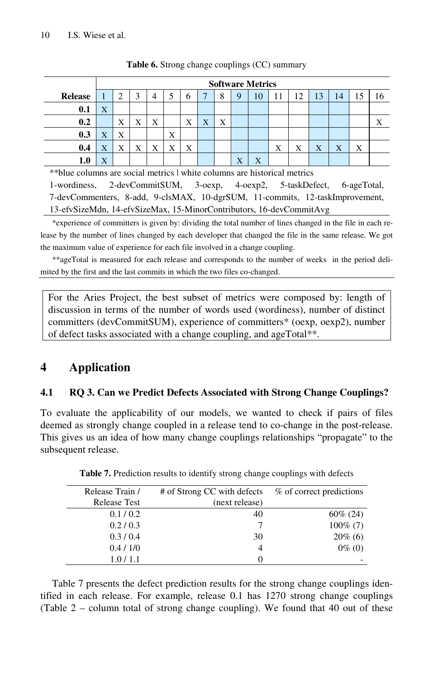|                                                                           | <b>Software Metrics</b> |   |   |                |   |              |   |   |   |    |    |    |    |   |  |
|---------------------------------------------------------------------------|-------------------------|---|---|----------------|---|--------------|---|---|---|----|----|----|----|---|--|
| <b>Release</b>                                                            |                         |   | 3 | $\overline{4}$ |   | <sub>(</sub> | ۰ | 8 | 9 | 10 | 12 | 13 | 14 |   |  |
| 0.1                                                                       | X                       |   |   |                |   |              |   |   |   |    |    |    |    |   |  |
| 0.2                                                                       |                         | Х | Х | X              |   | Х            | X | Х |   |    |    |    |    |   |  |
| 0.3                                                                       | X                       | X |   |                | X |              |   |   |   |    |    |    |    |   |  |
| 0.4                                                                       | Χ                       | Х |   | X              | X | Х            |   |   |   |    | х  | X  | X  | X |  |
|                                                                           | X                       |   |   |                |   |              |   |   | X | X  |    |    |    |   |  |
| ** blue columns are social metrics   white columns are historical metrics |                         |   |   |                |   |              |   |   |   |    |    |    |    |   |  |

**Table 6.** Strong change couplings (CC) summary

1-wordiness, 2-devCommitSUM, 3-oexp, 4-oexp2, 5-taskDefect, 6-ageTotal, 7-devCommenters, 8-add, 9-clsMAX, 10-dgrSUM, 11-commits, 12-taskImprovement, 13-efvSizeMdn, 14-efvSizeMax, 15-MinorContributors, 16-devCommitAvg

\*experience of committers is given by: dividing the total number of lines changed in the file in each release by the number of lines changed by each developer that changed the file in the same release. We got the maximum value of experience for each file involved in a change coupling.

\*\*ageTotal is measured for each release and corresponds to the number of weeks in the period delimited by the first and the last commits in which the two files co-changed.

For the Aries Project, the best subset of metrics were composed by: length of discussion in terms of the number of words used (wordiness), number of distinct committers (devCommitSUM), experience of committers\* (oexp, oexp2), number of defect tasks associated with a change coupling, and ageTotal\*\*.

# **4 Application**

# **4.1 RQ 3. Can we Predict Defects Associated with Strong Change Couplings?**

To evaluate the applicability of our models, we wanted to check if pairs of files deemed as strongly change coupled in a release tend to co-change in the post-release. This gives us an idea of how many change couplings relationships "propagate" to the subsequent release.

| Release Train /     | # of Strong CC with defects | % of correct predictions |
|---------------------|-----------------------------|--------------------------|
| <b>Release Test</b> | (next release)              |                          |
| 0.1/0.2             | 40                          | $60\% (24)$              |
| 0.2 / 0.3           |                             | $100\%$ (7)              |
| 0.3/0.4             | 30                          | $20\%$ (6)               |
| 0.4 / 1/0           |                             | $0\%$ (0)                |
| 1.0/1.1             | 0                           |                          |

**Table 7.** Prediction results to identify strong change couplings with defects

Table 7 presents the defect prediction results for the strong change couplings identified in each release. For example, release 0.1 has 1270 strong change couplings (Table 2 – column total of strong change coupling). We found that 40 out of these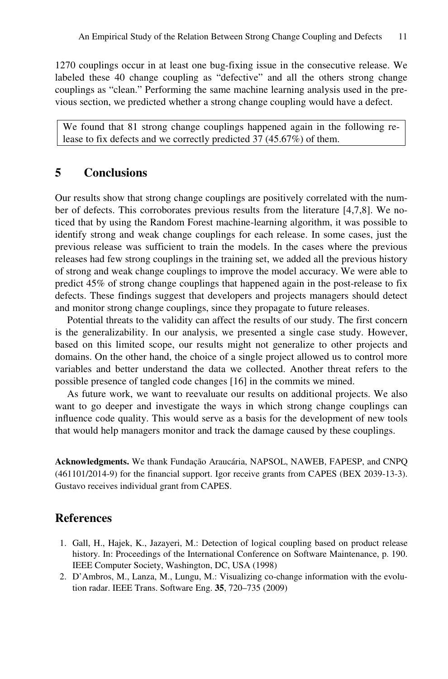1270 couplings occur in at least one bug-fixing issue in the consecutive release. We labeled these 40 change coupling as "defective" and all the others strong change couplings as "clean." Performing the same machine learning analysis used in the previous section, we predicted whether a strong change coupling would have a defect.

We found that 81 strong change couplings happened again in the following release to fix defects and we correctly predicted 37 (45.67%) of them.

# **5 Conclusions**

Our results show that strong change couplings are positively correlated with the number of defects. This corroborates previous results from the literature [4,7,8]. We noticed that by using the Random Forest machine-learning algorithm, it was possible to identify strong and weak change couplings for each release. In some cases, just the previous release was sufficient to train the models. In the cases where the previous releases had few strong couplings in the training set, we added all the previous history of strong and weak change couplings to improve the model accuracy. We were able to predict 45% of strong change couplings that happened again in the post-release to fix defects. These findings suggest that developers and projects managers should detect and monitor strong change couplings, since they propagate to future releases.

Potential threats to the validity can affect the results of our study. The first concern is the generalizability. In our analysis, we presented a single case study. However, based on this limited scope, our results might not generalize to other projects and domains. On the other hand, the choice of a single project allowed us to control more variables and better understand the data we collected. Another threat refers to the possible presence of tangled code changes [16] in the commits we mined.

As future work, we want to reevaluate our results on additional projects. We also want to go deeper and investigate the ways in which strong change couplings can influence code quality. This would serve as a basis for the development of new tools that would help managers monitor and track the damage caused by these couplings.

**Acknowledgments.** We thank Fundação Araucária, NAPSOL, NAWEB, FAPESP, and CNPQ (461101/2014-9) for the financial support. Igor receive grants from CAPES (BEX 2039-13-3). Gustavo receives individual grant from CAPES.

# **References**

- 1. Gall, H., Hajek, K., Jazayeri, M.: Detection of logical coupling based on product release history. In: Proceedings of the International Conference on Software Maintenance, p. 190. IEEE Computer Society, Washington, DC, USA (1998)
- 2. D'Ambros, M., Lanza, M., Lungu, M.: Visualizing co-change information with the evolution radar. IEEE Trans. Software Eng. **35**, 720–735 (2009)